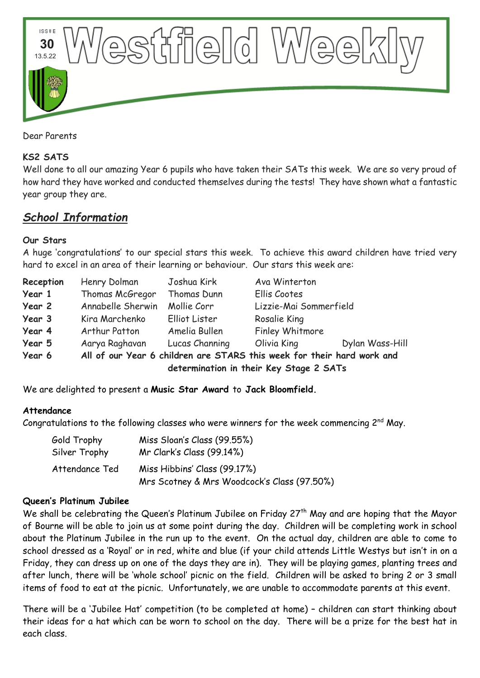

Dear Parents

### **KS2 SATS**

Well done to all our amazing Year 6 pupils who have taken their SATs this week. We are so very proud of how hard they have worked and conducted themselves during the tests! They have shown what a fantastic year group they are.

# *School Information*

#### **Our Stars**

A huge 'congratulations' to our special stars this week. To achieve this award children have tried very hard to excel in an area of their learning or behaviour. Our stars this week are:

| Reception | Henry Dolman                                                           | Joshua Kirk    | Ava Winterton          |                 |  |
|-----------|------------------------------------------------------------------------|----------------|------------------------|-----------------|--|
| Year 1    | Thomas McGregor                                                        | Thomas Dunn    | Ellis Cootes           |                 |  |
| Year 2    | Annabelle Sherwin                                                      | Mollie Corr    | Lizzie-Mai Sommerfield |                 |  |
| Year 3    | Kira Marchenko                                                         | Elliot Lister  | Rosalie King           |                 |  |
| Year 4    | Arthur Patton                                                          | Amelia Bullen  | Finley Whitmore        |                 |  |
| Year 5    | Aarya Raghavan                                                         | Lucas Channing | Olivia King            | Dylan Wass-Hill |  |
| Year 6    | All of our Year 6 children are STARS this week for their hard work and |                |                        |                 |  |
|           | determination in their Key Stage 2 SATs                                |                |                        |                 |  |

We are delighted to present a **Music Star Award** to **Jack Bloomfield.**

#### **Attendance**

Congratulations to the following classes who were winners for the week commencing 2<sup>nd</sup> May.

| Gold Trophy<br>Silver Trophy | Miss Sloan's Class (99.55%)<br>Mr Clark's Class (99.14%) |
|------------------------------|----------------------------------------------------------|
| Attendance Ted               | Miss Hibbins' Class (99.17%)                             |
|                              | Mrs Scotney & Mrs Woodcock's Class (97.50%)              |

#### **Queen's Platinum Jubilee**

We shall be celebrating the Queen's Platinum Jubilee on Friday 27<sup>th</sup> May and are hoping that the Mayor of Bourne will be able to join us at some point during the day. Children will be completing work in school about the Platinum Jubilee in the run up to the event. On the actual day, children are able to come to school dressed as a 'Royal' or in red, white and blue (if your child attends Little Westys but isn't in on a Friday, they can dress up on one of the days they are in). They will be playing games, planting trees and after lunch, there will be 'whole school' picnic on the field. Children will be asked to bring 2 or 3 small items of food to eat at the picnic. Unfortunately, we are unable to accommodate parents at this event.

There will be a 'Jubilee Hat' competition (to be completed at home) – children can start thinking about their ideas for a hat which can be worn to school on the day. There will be a prize for the best hat in each class.